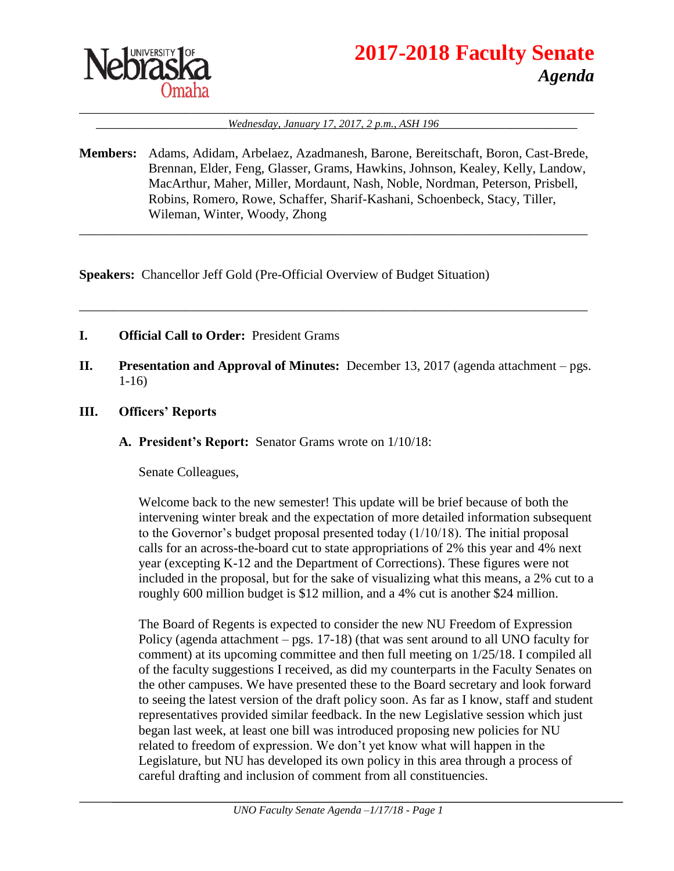

# **2017-2018 Faculty Senate** *Agenda*

#### \_\_\_\_\_\_\_\_\_\_\_\_\_\_\_\_\_\_\_\_\_\_\_\_\_\_\_\_\_\_\_\_\_\_\_\_\_\_\_\_\_\_\_\_\_\_\_\_\_\_\_\_\_\_\_\_\_\_\_\_\_\_\_\_\_\_\_\_\_\_\_\_\_\_\_\_\_\_ Wednesday, January 17, 2017, 2 p.m., ASH 196

**Members:** Adams, Adidam, Arbelaez, Azadmanesh, Barone, Bereitschaft, Boron, Cast-Brede, Brennan, Elder, Feng, Glasser, Grams, Hawkins, Johnson, Kealey, Kelly, Landow, MacArthur, Maher, Miller, Mordaunt, Nash, Noble, Nordman, Peterson, Prisbell, Robins, Romero, Rowe, Schaffer, Sharif-Kashani, Schoenbeck, Stacy, Tiller, Wileman, Winter, Woody, Zhong

\_\_\_\_\_\_\_\_\_\_\_\_\_\_\_\_\_\_\_\_\_\_\_\_\_\_\_\_\_\_\_\_\_\_\_\_\_\_\_\_\_\_\_\_\_\_\_\_\_\_\_\_\_\_\_\_\_\_\_\_\_\_\_\_\_\_\_\_\_\_\_\_\_\_\_\_\_

\_\_\_\_\_\_\_\_\_\_\_\_\_\_\_\_\_\_\_\_\_\_\_\_\_\_\_\_\_\_\_\_\_\_\_\_\_\_\_\_\_\_\_\_\_\_\_\_\_\_\_\_\_\_\_\_\_\_\_\_\_\_\_\_\_\_\_\_\_\_\_\_\_\_\_\_\_

**Speakers:** Chancellor Jeff Gold (Pre-Official Overview of Budget Situation)

- **I. Official Call to Order:** President Grams
- **II. Presentation and Approval of Minutes:** December 13, 2017 (agenda attachment pgs. 1-16)
- **III. Officers' Reports**
	- **A. President's Report:** Senator Grams wrote on 1/10/18:

Senate Colleagues,

Welcome back to the new semester! This update will be brief because of both the intervening winter break and the expectation of more detailed information subsequent to the Governor's budget proposal presented today  $(1/10/18)$ . The initial proposal calls for an across-the-board cut to state appropriations of 2% this year and 4% next year (excepting K-12 and the Department of Corrections). These figures were not included in the proposal, but for the sake of visualizing what this means, a 2% cut to a roughly 600 million budget is \$12 million, and a 4% cut is another \$24 million.

The Board of Regents is expected to consider the new NU Freedom of Expression Policy (agenda attachment – pgs. 17-18) (that was sent around to all UNO faculty for comment) at its upcoming committee and then full meeting on 1/25/18. I compiled all of the faculty suggestions I received, as did my counterparts in the Faculty Senates on the other campuses. We have presented these to the Board secretary and look forward to seeing the latest version of the draft policy soon. As far as I know, staff and student representatives provided similar feedback. In the new Legislative session which just began last week, at least one bill was introduced proposing new policies for NU related to freedom of expression. We don't yet know what will happen in the Legislature, but NU has developed its own policy in this area through a process of careful drafting and inclusion of comment from all constituencies.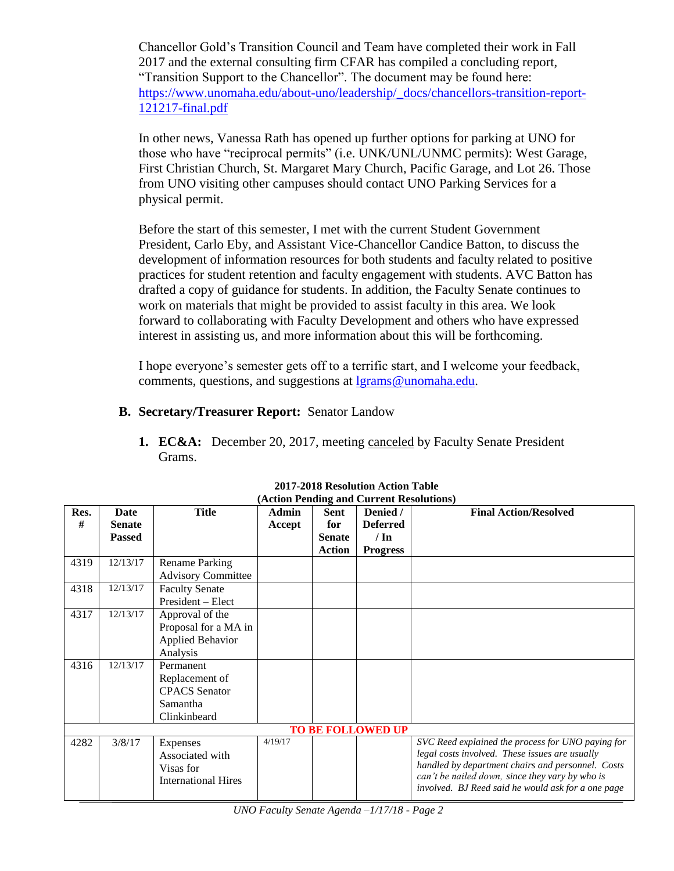Chancellor Gold's Transition Council and Team have completed their work in Fall 2017 and the external consulting firm CFAR has compiled a concluding report, "Transition Support to the Chancellor". The document may be found here: [https://www.unomaha.edu/about-uno/leadership/\\_docs/chancellors-transition-report-](https://www.unomaha.edu/about-uno/leadership/_docs/chancellors-transition-report-121217-final.pdf)[121217-final.pdf](https://www.unomaha.edu/about-uno/leadership/_docs/chancellors-transition-report-121217-final.pdf)

In other news, Vanessa Rath has opened up further options for parking at UNO for those who have "reciprocal permits" (i.e. UNK/UNL/UNMC permits): West Garage, First Christian Church, St. Margaret Mary Church, Pacific Garage, and Lot 26. Those from UNO visiting other campuses should contact UNO Parking Services for a physical permit.

Before the start of this semester, I met with the current Student Government President, Carlo Eby, and Assistant Vice-Chancellor Candice Batton, to discuss the development of information resources for both students and faculty related to positive practices for student retention and faculty engagement with students. AVC Batton has drafted a copy of guidance for students. In addition, the Faculty Senate continues to work on materials that might be provided to assist faculty in this area. We look forward to collaborating with Faculty Development and others who have expressed interest in assisting us, and more information about this will be forthcoming.

I hope everyone's semester gets off to a terrific start, and I welcome your feedback, comments, questions, and suggestions at [lgrams@unomaha.edu.](mailto:lgrams@unomaha.edu)

# **B. Secretary/Treasurer Report:** Senator Landow

**1. EC&A:** December 20, 2017, meeting canceled by Faculty Senate President Grams.

| Res.                     | <b>Date</b>   | <b>Title</b>                                                           | <b>Admin</b> | <b>Sent</b>   | Denied /        | <b>Final Action/Resolved</b>                                                                                                                                                                                                                                      |
|--------------------------|---------------|------------------------------------------------------------------------|--------------|---------------|-----------------|-------------------------------------------------------------------------------------------------------------------------------------------------------------------------------------------------------------------------------------------------------------------|
| #                        | <b>Senate</b> |                                                                        | Accept       | for           | <b>Deferred</b> |                                                                                                                                                                                                                                                                   |
|                          | <b>Passed</b> |                                                                        |              | <b>Senate</b> | $/ \ln$         |                                                                                                                                                                                                                                                                   |
|                          |               |                                                                        |              | <b>Action</b> | <b>Progress</b> |                                                                                                                                                                                                                                                                   |
| 4319                     | 12/13/17      | <b>Rename Parking</b>                                                  |              |               |                 |                                                                                                                                                                                                                                                                   |
|                          |               | <b>Advisory Committee</b>                                              |              |               |                 |                                                                                                                                                                                                                                                                   |
| 4318                     | 12/13/17      | <b>Faculty Senate</b>                                                  |              |               |                 |                                                                                                                                                                                                                                                                   |
|                          |               | President – Elect                                                      |              |               |                 |                                                                                                                                                                                                                                                                   |
| 4317                     | 12/13/17      | Approval of the                                                        |              |               |                 |                                                                                                                                                                                                                                                                   |
|                          |               | Proposal for a MA in                                                   |              |               |                 |                                                                                                                                                                                                                                                                   |
|                          |               | <b>Applied Behavior</b>                                                |              |               |                 |                                                                                                                                                                                                                                                                   |
|                          |               | Analysis                                                               |              |               |                 |                                                                                                                                                                                                                                                                   |
| 4316                     | 12/13/17      | Permanent                                                              |              |               |                 |                                                                                                                                                                                                                                                                   |
|                          |               | Replacement of                                                         |              |               |                 |                                                                                                                                                                                                                                                                   |
|                          |               | <b>CPACS</b> Senator                                                   |              |               |                 |                                                                                                                                                                                                                                                                   |
|                          |               | Samantha                                                               |              |               |                 |                                                                                                                                                                                                                                                                   |
|                          |               | Clinkinbeard                                                           |              |               |                 |                                                                                                                                                                                                                                                                   |
| <b>TO BE FOLLOWED UP</b> |               |                                                                        |              |               |                 |                                                                                                                                                                                                                                                                   |
| 4282                     | 3/8/17        | Expenses<br>Associated with<br>Visas for<br><b>International Hires</b> | 4/19/17      |               |                 | SVC Reed explained the process for UNO paying for<br>legal costs involved. These issues are usually<br>handled by department chairs and personnel. Costs<br>can't be nailed down, since they vary by who is<br>involved. BJ Reed said he would ask for a one page |

#### **2017-2018 Resolution Action Table (Action Pending and Current Resolutions)**

*UNO Faculty Senate Agenda –1/17/18 - Page 2*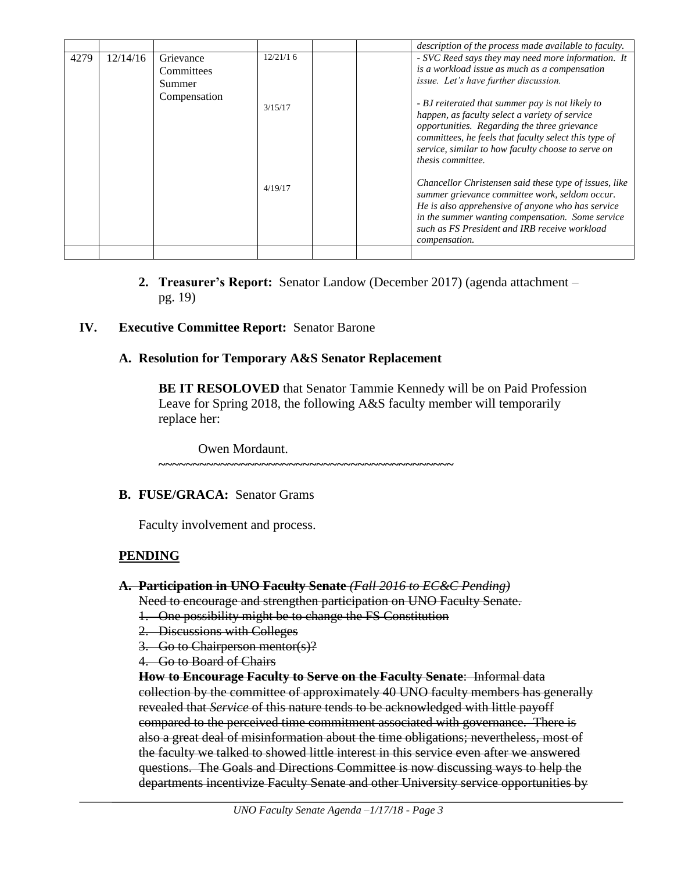|      |          |                                   |          | description of the process made available to faculty.                                                                                                                                                                                                                                  |
|------|----------|-----------------------------------|----------|----------------------------------------------------------------------------------------------------------------------------------------------------------------------------------------------------------------------------------------------------------------------------------------|
| 4279 | 12/14/16 | Grievance<br>Committees<br>Summer | 12/21/16 | - SVC Reed says they may need more information. It<br>is a workload issue as much as a compensation<br>issue. Let's have further discussion.                                                                                                                                           |
|      |          | Compensation                      | 3/15/17  | - BJ reiterated that summer pay is not likely to<br>happen, as faculty select a variety of service<br>opportunities. Regarding the three grievance<br>committees, he feels that faculty select this type of<br>service, similar to how faculty choose to serve on<br>thesis committee. |
|      |          |                                   | 4/19/17  | Chancellor Christensen said these type of issues, like<br>summer grievance committee work, seldom occur.<br>He is also apprehensive of anyone who has service<br>in the summer wanting compensation. Some service<br>such as FS President and IRB receive workload<br>compensation.    |
|      |          |                                   |          |                                                                                                                                                                                                                                                                                        |

**2. Treasurer's Report:** Senator Landow (December 2017) (agenda attachment – pg. 19)

# **IV. Executive Committee Report:** Senator Barone

### **A. Resolution for Temporary A&S Senator Replacement**

**BE IT RESOLOVED** that Senator Tammie Kennedy will be on Paid Profession Leave for Spring 2018, the following A&S faculty member will temporarily replace her:

Owen Mordaunt.

# **~~~~~~~~~~~~~~~~~~~~~~~~~~~~~~~~~~~~~~~~~~~**

#### **B. FUSE/GRACA:** Senator Grams

Faculty involvement and process.

# **PENDING**

#### **A. Participation in UNO Faculty Senate** *(Fall 2016 to EC&C Pending)*

Need to encourage and strengthen participation on UNO Faculty Senate.

- 1. One possibility might be to change the FS Constitution
- 2. Discussions with Colleges
- 3. Go to Chairperson mentor(s)?
- 4. Go to Board of Chairs

**How to Encourage Faculty to Serve on the Faculty Senate**: Informal data collection by the committee of approximately 40 UNO faculty members has generally revealed that *Service* of this nature tends to be acknowledged with little payoff compared to the perceived time commitment associated with governance. There is also a great deal of misinformation about the time obligations; nevertheless, most of the faculty we talked to showed little interest in this service even after we answered questions. The Goals and Directions Committee is now discussing ways to help the departments incentivize Faculty Senate and other University service opportunities by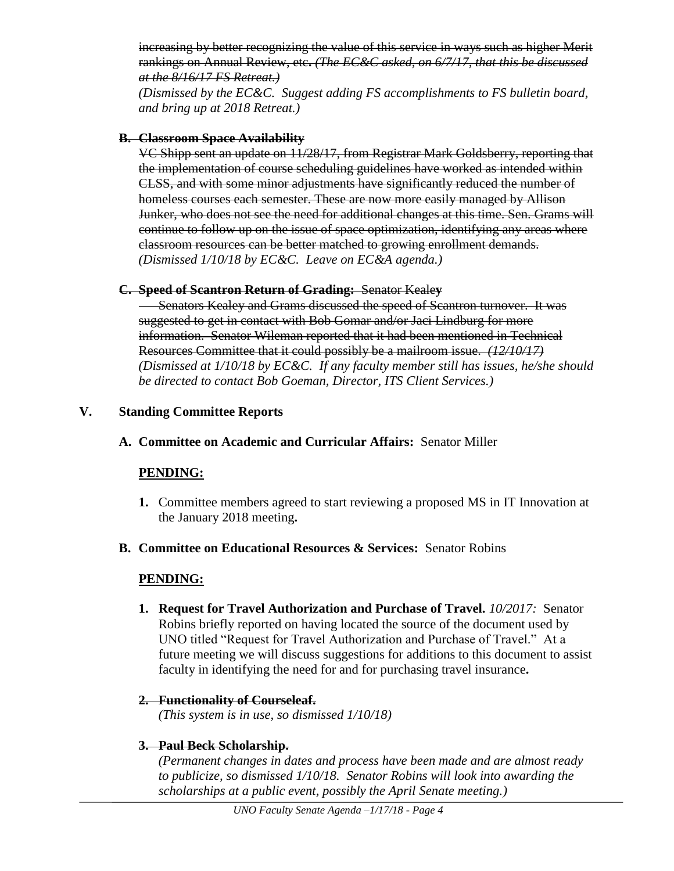increasing by better recognizing the value of this service in ways such as higher Merit rankings on Annual Review, etc**.** *(The EC&C asked, on 6/7/17, that this be discussed at the 8/16/17 FS Retreat.)*

*(Dismissed by the EC&C. Suggest adding FS accomplishments to FS bulletin board, and bring up at 2018 Retreat.)*

## **B. Classroom Space Availability**

VC Shipp sent an update on 11/28/17, from Registrar Mark Goldsberry, reporting that the implementation of course scheduling guidelines have worked as intended within CLSS, and with some minor adjustments have significantly reduced the number of homeless courses each semester. These are now more easily managed by Allison Junker, who does not see the need for additional changes at this time. Sen. Grams will continue to follow up on the issue of space optimization, identifying any areas where classroom resources can be better matched to growing enrollment demands. *(Dismissed 1/10/18 by EC&C. Leave on EC&A agenda.)*

### **C. Speed of Scantron Return of Grading:** Senator Keale**y**

**Senators Kealey and Grams discussed the speed of Scantron turnover. It was** suggested to get in contact with Bob Gomar and/or Jaci Lindburg for more information. Senator Wileman reported that it had been mentioned in Technical Resources Committee that it could possibly be a mailroom issue. *(12/10/17) (Dismissed at 1/10/18 by EC&C. If any faculty member still has issues, he/she should be directed to contact Bob Goeman, Director, ITS Client Services.)*

# **V. Standing Committee Reports**

# **A. Committee on Academic and Curricular Affairs:** Senator Miller

# **PENDING:**

- **1.** Committee members agreed to start reviewing a proposed MS in IT Innovation at the January 2018 meeting**.**
- **B. Committee on Educational Resources & Services:** Senator Robins

# **PENDING:**

**1. Request for Travel Authorization and Purchase of Travel.** *10/2017:* Senator Robins briefly reported on having located the source of the document used by UNO titled "Request for Travel Authorization and Purchase of Travel." At a future meeting we will discuss suggestions for additions to this document to assist faculty in identifying the need for and for purchasing travel insurance**.**

# **2. Functionality of Courseleaf.**

*(This system is in use, so dismissed 1/10/18)*

# **3. Paul Beck Scholarship.**

*(Permanent changes in dates and process have been made and are almost ready to publicize, so dismissed 1/10/18. Senator Robins will look into awarding the scholarships at a public event, possibly the April Senate meeting.)*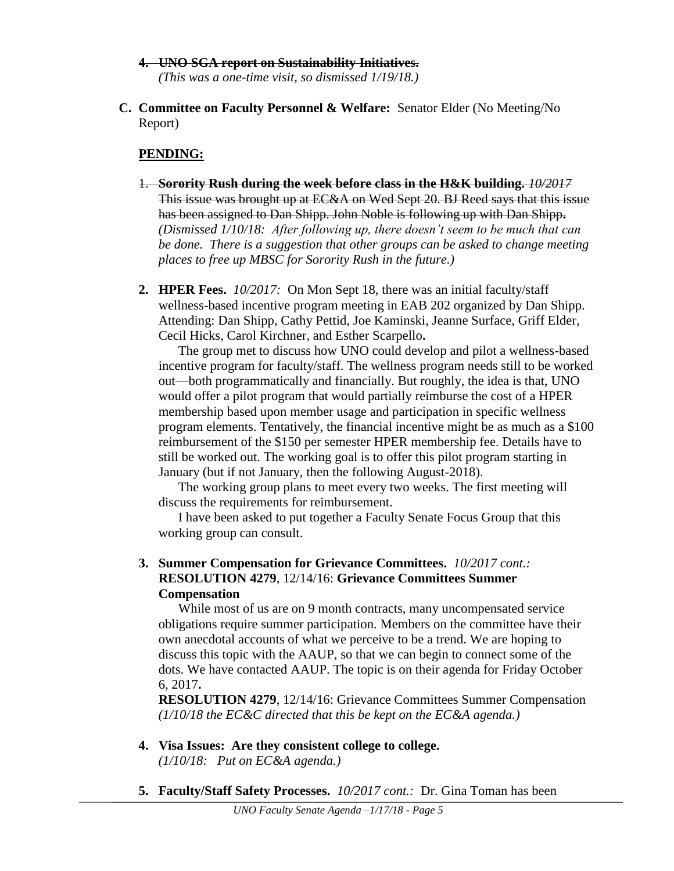- **4. UNO SGA report on Sustainability Initiatives.** *(This was a one-time visit, so dismissed 1/19/18.)*
- **C. Committee on Faculty Personnel & Welfare:** Senator Elder (No Meeting/No Report)

# **PENDING:**

- 1. **Sorority Rush during the week before class in the H&K building.** *10/2017* This issue was brought up at EC&A on Wed Sept 20. BJ Reed says that this issue has been assigned to Dan Shipp. John Noble is following up with Dan Shipp**.** *(Dismissed 1/10/18: After following up, there doesn't seem to be much that can be done. There is a suggestion that other groups can be asked to change meeting places to free up MBSC for Sorority Rush in the future.)*
- **2. HPER Fees.** *10/2017:*On Mon Sept 18, there was an initial faculty/staff wellness-based incentive program meeting in EAB 202 organized by Dan Shipp. Attending: Dan Shipp, Cathy Pettid, Joe Kaminski, Jeanne Surface, Griff Elder, Cecil Hicks, Carol Kirchner, and Esther Scarpello**.**

The group met to discuss how UNO could develop and pilot a wellness-based incentive program for faculty/staff. The wellness program needs still to be worked out—both programmatically and financially. But roughly, the idea is that, UNO would offer a pilot program that would partially reimburse the cost of a HPER membership based upon member usage and participation in specific wellness program elements. Tentatively, the financial incentive might be as much as a \$100 reimbursement of the \$150 per semester HPER membership fee. Details have to still be worked out. The working goal is to offer this pilot program starting in January (but if not January, then the following August-2018).

The working group plans to meet every two weeks. The first meeting will discuss the requirements for reimbursement.

I have been asked to put together a Faculty Senate Focus Group that this working group can consult.

**3. Summer Compensation for Grievance Committees.** *10/2017 cont.:* **RESOLUTION 4279**, 12/14/16: **Grievance Committees Summer Compensation**

While most of us are on 9 month contracts, many uncompensated service obligations require summer participation. Members on the committee have their own anecdotal accounts of what we perceive to be a trend. We are hoping to discuss this topic with the AAUP, so that we can begin to connect some of the dots. We have contacted AAUP. The topic is on their agenda for Friday October 6, 2017**.**

**RESOLUTION 4279**, 12/14/16: Grievance Committees Summer Compensation *(1/10/18 the EC&C directed that this be kept on the EC&A agenda.)*

- **4. Visa Issues: Are they consistent college to college.** *(1/10/18: Put on EC&A agenda.)*
- **5. Faculty/Staff Safety Processes.** *10/2017 cont.:* Dr. Gina Toman has been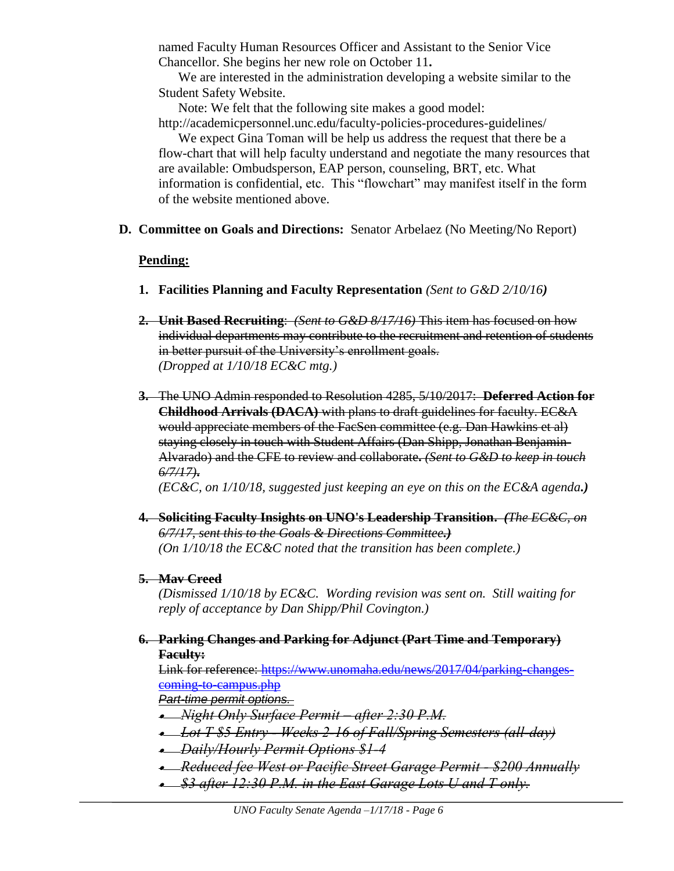named Faculty Human Resources Officer and Assistant to the Senior Vice Chancellor. She begins her new role on October 11**.**

We are interested in the administration developing a website similar to the Student Safety Website.

Note: We felt that the following site makes a good model: http://academicpersonnel.unc.edu/faculty-policies-procedures-guidelines/

We expect Gina Toman will be help us address the request that there be a flow-chart that will help faculty understand and negotiate the many resources that are available: Ombudsperson, EAP person, counseling, BRT, etc. What information is confidential, etc. This "flowchart" may manifest itself in the form of the website mentioned above.

**D. Committee on Goals and Directions:** Senator Arbelaez (No Meeting/No Report)

# **Pending:**

- **1. Facilities Planning and Faculty Representation** *(Sent to G&D 2/10/16)*
- **2. Unit Based Recruiting**: *(Sent to G&D 8/17/16)* This item has focused on how individual departments may contribute to the recruitment and retention of students in better pursuit of the University's enrollment goals. *(Dropped at 1/10/18 EC&C mtg.)*
- **3.** The UNO Admin responded to Resolution 4285, 5/10/2017: **Deferred Action for Childhood Arrivals (DACA)** with plans to draft guidelines for faculty. EC&A would appreciate members of the FacSen committee (e.g. Dan Hawkins et al) staying closely in touch with Student Affairs (Dan Shipp, Jonathan Benjamin-Alvarado) and the CFE to review and collaborate**.** *(Sent to G&D to keep in touch 6/7/17)***.**

*(EC&C, on 1/10/18, suggested just keeping an eye on this on the EC&A agenda.)*

**4. Soliciting Faculty Insights on UNO's Leadership Transition.** *(The EC&C, on 6/7/17, sent this to the Goals & Directions Committee.) (On 1/10/18 the EC&C noted that the transition has been complete.)*

# **5. Mav Creed**

*(Dismissed 1/10/18 by EC&C. Wording revision was sent on. Still waiting for reply of acceptance by Dan Shipp/Phil Covington.)*

**6. Parking Changes and Parking for Adjunct (Part Time and Temporary) Faculty:**

Link for reference: [https://www.unomaha.edu/news/2017/04/parking-changes](https://www.unomaha.edu/news/2017/04/parking-changes-coming-to-campus.php)[coming-to-campus.php](https://www.unomaha.edu/news/2017/04/parking-changes-coming-to-campus.php)

*Part-time permit options.*

- *Night Only Surface Permit – after 2:30 P.M.*
- *Lot T \$5 Entry - Weeks 2-16 of Fall/Spring Semesters (all-day)*
- *Daily/Hourly Permit Options \$1-4*
- *Reduced fee West or Pacific Street Garage Permit - \$200 Annually*
- *\$3 after 12:30 P.M. in the East Garage Lots U and T only.*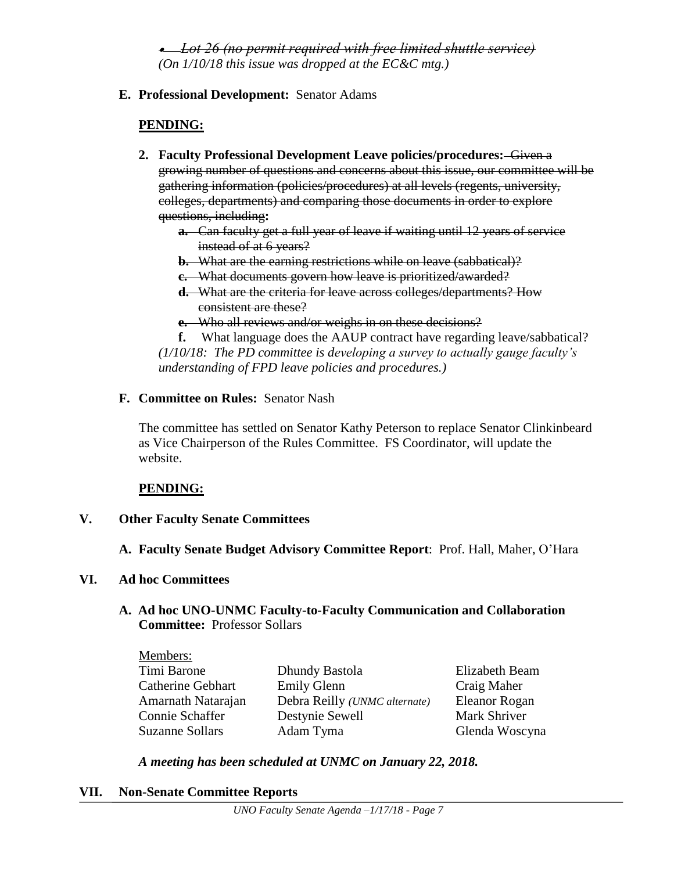*Lot 26 (no permit required with free limited shuttle service) (On 1/10/18 this issue was dropped at the EC&C mtg.)*

**E. Professional Development:** Senator Adams

# **PENDING:**

- **2. Faculty Professional Development Leave policies/procedures:** Given a growing number of questions and concerns about this issue, our committee will be gathering information (policies/procedures) at all levels (regents, university, colleges, departments) and comparing those documents in order to explore questions, including**:** 
	- **a.** Can faculty get a full year of leave if waiting until 12 years of service instead of at 6 years?
	- **b.** What are the earning restrictions while on leave (sabbatical)?
	- **c.** What documents govern how leave is prioritized/awarded?
	- **d.** What are the criteria for leave across colleges/departments? How consistent are these?
	- **e.** Who all reviews and/or weighs in on these decisions?

**f.** What language does the AAUP contract have regarding leave/sabbatical? *(1/10/18: The PD committee is developing a survey to actually gauge faculty's understanding of FPD leave policies and procedures.)*

**F. Committee on Rules:** Senator Nash

The committee has settled on Senator Kathy Peterson to replace Senator Clinkinbeard as Vice Chairperson of the Rules Committee. FS Coordinator, will update the website.

# **PENDING:**

# **V. Other Faculty Senate Committees**

**A. Faculty Senate Budget Advisory Committee Report**: Prof. Hall, Maher, O'Hara

# **VI. Ad hoc Committees**

### **A. Ad hoc UNO-UNMC Faculty-to-Faculty Communication and Collaboration Committee:** Professor Sollars

| Members:               |                                       |                |
|------------------------|---------------------------------------|----------------|
| Timi Barone            | Dhundy Bastola                        | Elizabeth Beam |
| Catherine Gebhart      | <b>Emily Glenn</b>                    | Craig Maher    |
| Amarnath Natarajan     | Debra Reilly ( <i>UNMC</i> alternate) | Eleanor Rogan  |
| Connie Schaffer        | Destynie Sewell                       | Mark Shriver   |
| <b>Suzanne Sollars</b> | Adam Tyma                             | Glenda Woscyna |

*A meeting has been scheduled at UNMC on January 22, 2018.*

# **VII. Non-Senate Committee Reports**